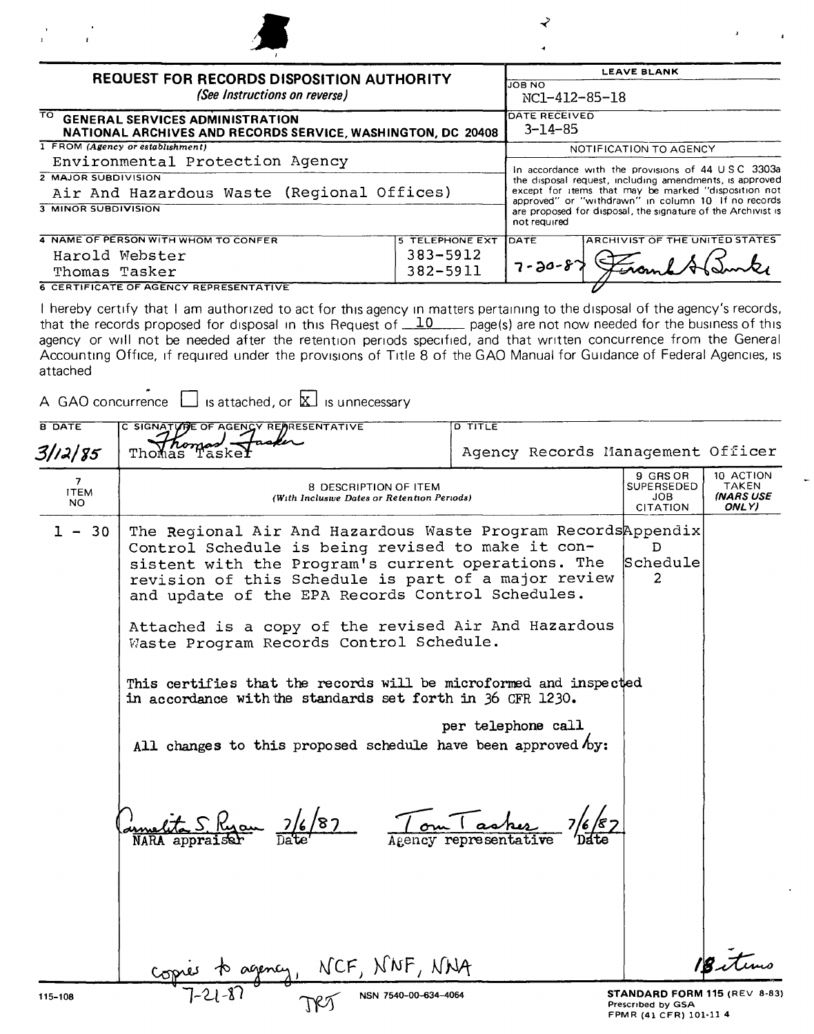| and the control of the      |  |
|-----------------------------|--|
| $1$ and $1$ and $1$ and $1$ |  |
|                             |  |
|                             |  |

| <b>REQUEST FOR RECORDS DISPOSITION AUTHORITY</b>                                                  |                        | LEAVE BLANN                           |                                                                                                                     |  |
|---------------------------------------------------------------------------------------------------|------------------------|---------------------------------------|---------------------------------------------------------------------------------------------------------------------|--|
| (See Instructions on reverse)                                                                     |                        | <b>JOB NO</b><br>NC1-412-85-18        |                                                                                                                     |  |
| TO GENERAL SERVICES ADMINISTRATION<br>NATIONAL ARCHIVES AND RECORDS SERVICE, WASHINGTON, DC 20408 |                        | <b>DATE RECEIVED</b><br>$3 - 14 - 85$ |                                                                                                                     |  |
| 1 FROM (Agency or establishment)                                                                  |                        |                                       | NOTIFICATION TO AGENCY                                                                                              |  |
| Environmental Protection Agency                                                                   |                        |                                       | In accordance with the provisions of 44 USC 3303a                                                                   |  |
| <b>2 MAJOR SUBDIVISION</b>                                                                        |                        |                                       | the disposal request, including amendments, is approved                                                             |  |
| Air And Hazardous Waste (Regional Offices)                                                        |                        |                                       | except for items that may be marked "disposition not                                                                |  |
| <b>3 MINOR SUBDIVISION</b>                                                                        |                        | not required                          | approved" or "withdrawn" in column 10 If no records<br>are proposed for disposal, the signature of the Archivist is |  |
| 4 NAME OF PERSON WITH WHOM TO CONFER                                                              | <b>5 TELEPHONE EXT</b> | <b>IDATE</b>                          | ARCHIVIST OF THE UNITED STATES                                                                                      |  |
| Harold Webster                                                                                    | $383 - 5912$           |                                       |                                                                                                                     |  |
| Thomas Tasker                                                                                     | 382-5911               | $7 - 20 - 87$                         |                                                                                                                     |  |
| <b>6 CERTIFICATE OF AGENCY REPRESENTATIVE</b>                                                     |                        |                                       |                                                                                                                     |  |

 $\overline{\phantom{a}}$ 

**6 CERTIFICATE OF AGENCY REPRESENTATIVE** 

I hereby certify that I am authorized to act for this agency in matters pertaining to the disposal of the agency's records, that the records proposed for disposal in this Request of 10 page(s) are not now needed for the business of this agency or will not be needed after the retention periods specified, and that written concurrence from the General Accounting Office, if required under the provisions of Title 8 of the GAO Manual for Guidance of Federal Agencies, is attached

A GAO concurrence  $\Box$  is attached, or  $\boxtimes$  is unnecessary

| <b>B DATE</b>                        | C SIGNATURE OF AGENCY REARESENTATIVE                                                                                                                                                                                                                                                                                                                                                                                                                                                                                                                                                                                     | <b>D TITLE</b>     |                                                                             |                                                 |
|--------------------------------------|--------------------------------------------------------------------------------------------------------------------------------------------------------------------------------------------------------------------------------------------------------------------------------------------------------------------------------------------------------------------------------------------------------------------------------------------------------------------------------------------------------------------------------------------------------------------------------------------------------------------------|--------------------|-----------------------------------------------------------------------------|-------------------------------------------------|
| 3/12/85                              | Thomas Taske                                                                                                                                                                                                                                                                                                                                                                                                                                                                                                                                                                                                             |                    | Agency Records Management Officer                                           |                                                 |
| $\overline{7}$<br><b>ITEM</b><br>NO. | 8 DESCRIPTION OF ITEM<br>(With Inclusive Dates or Retention Periods)                                                                                                                                                                                                                                                                                                                                                                                                                                                                                                                                                     |                    | 9 GRS OR<br><b>SUPERSEDED</b><br>JOB.<br>CITATION                           | 10 ACTION<br>TAKEN<br><b>INARS USE</b><br>ONLY) |
| 30<br>$1 -$                          | The Regional Air And Hazardous Waste Program RecordsAppendix<br>Control Schedule is being revised to make it con-<br>sistent with the Program's current operations. The<br>revision of this Schedule is part of a major review<br>and update of the EPA Records Control Schedules.<br>Attached is a copy of the revised Air And Hazardous<br>Waste Program Records Control Schedule.<br>This certifies that the records will be microformed and inspected<br>in accordance with the standards set forth in 36 CFR 1230.<br>All changes to this proposed schedule have been approved $h_y$ :<br>et Shyau 7/6/87 TouTasher | per telephone call | D.<br>Schedule<br>$\overline{2}$                                            |                                                 |
| 115-108                              | Sagency, NCF, NNF, NNA                                                                                                                                                                                                                                                                                                                                                                                                                                                                                                                                                                                                   |                    | STANDARD FORM 115 (REV 8-83)<br>Prescribed by GSA<br>FPMR (41 CFR) 101-11 4 |                                                 |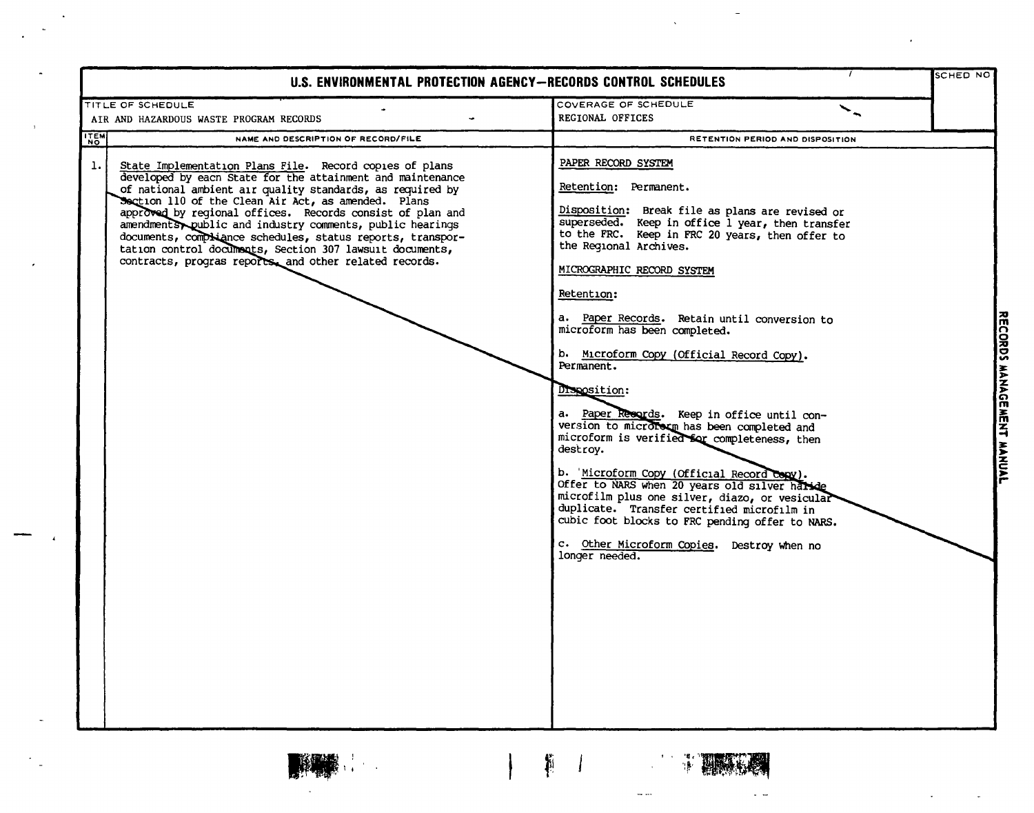| U.S. ENVIRONMENTAL PROTECTION AGENCY-RECORDS CONTROL SCHEDULES                                                                                                                                                                                                                                                                                                                                                                                                                                                                                                |                                                                                                                                                                                                                                                                                                                                                                                                                                                                                                                                                                                                                                                                                                                                                                                                                                                                                                                     | <b>SCHED NO</b>           |
|---------------------------------------------------------------------------------------------------------------------------------------------------------------------------------------------------------------------------------------------------------------------------------------------------------------------------------------------------------------------------------------------------------------------------------------------------------------------------------------------------------------------------------------------------------------|---------------------------------------------------------------------------------------------------------------------------------------------------------------------------------------------------------------------------------------------------------------------------------------------------------------------------------------------------------------------------------------------------------------------------------------------------------------------------------------------------------------------------------------------------------------------------------------------------------------------------------------------------------------------------------------------------------------------------------------------------------------------------------------------------------------------------------------------------------------------------------------------------------------------|---------------------------|
| TITLE OF SCHEDULE                                                                                                                                                                                                                                                                                                                                                                                                                                                                                                                                             | COVERAGE OF SCHEDULE                                                                                                                                                                                                                                                                                                                                                                                                                                                                                                                                                                                                                                                                                                                                                                                                                                                                                                |                           |
| AIR AND HAZARDOUS WASTE PROGRAM RECORDS                                                                                                                                                                                                                                                                                                                                                                                                                                                                                                                       | REGIONAL OFFICES                                                                                                                                                                                                                                                                                                                                                                                                                                                                                                                                                                                                                                                                                                                                                                                                                                                                                                    |                           |
| <b>ITEM</b><br>NAME AND DESCRIPTION OF RECORD/FILE                                                                                                                                                                                                                                                                                                                                                                                                                                                                                                            | RETENTION PERIOD AND DISPOSITION                                                                                                                                                                                                                                                                                                                                                                                                                                                                                                                                                                                                                                                                                                                                                                                                                                                                                    |                           |
| 1.1<br>State Implementation Plans File. Record copies of plans<br>developed by each State for the attainment and maintenance<br>of national ambient air quality standards, as required by<br>Section 110 of the Clean Air Act, as amended. Plans<br>approved by regional offices. Records consist of plan and<br>amendments public and industry comments, public hearings<br>documents, compliance schedules, status reports, transpor-<br>tation control documents, Section 307 lawsuit documents,<br>contracts, progras reports, and other related records. | PAPER RECORD SYSTEM<br>Retention: Permanent.<br>Disposition: Break file as plans are revised or<br>superseded. Keep in office 1 year, then transfer<br>to the FRC. Keep in FRC 20 years, then offer to<br>the Regional Archives.<br>MICROGRAPHIC RECORD SYSTEM<br>Retention:<br>a. Paper Records. Retain until conversion to<br>microform has been completed.<br>b. Microform Copy (Official Record Copy).<br>Permanent.<br>Disposition:<br>a. Paper Resords. Keep in office until con-<br>version to micrororm has been completed and<br>microform is verified for completeness, then<br>destroy.<br>b. 'Microform Copy (Official Record Copy).<br>Offer to NARS when 20 years old silver harde<br>microfilm plus one silver, diazo, or vesicular<br>duplicate. Transfer certified microfilm in<br>cubic foot blocks to FRC pending offer to NARS.<br>c. Other Microform Copies. Destroy when no<br>longer needed. | RECORDS MANAGEMENT MANUAL |

 $\mathbf{r}$ 

 $\Box$ 

. L

 $\sim$   $\sim$ 

 $\hat{\mathbf{v}}$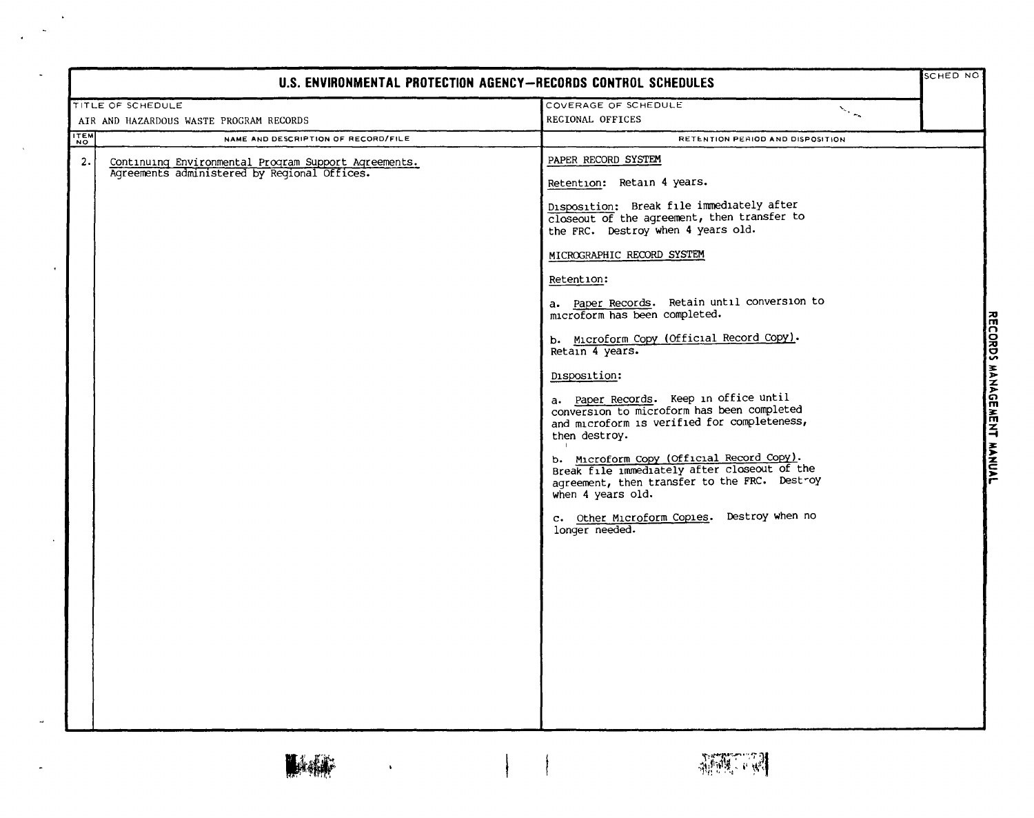| U.S. ENVIRONMENTAL PROTECTION AGENCY-RECORDS CONTROL SCHEDULES                                             |                                                                                                                                                                                                                                                                                                                                                                                                                                                                                                                                                                                                                                                                                                                                                                                            |                                            |
|------------------------------------------------------------------------------------------------------------|--------------------------------------------------------------------------------------------------------------------------------------------------------------------------------------------------------------------------------------------------------------------------------------------------------------------------------------------------------------------------------------------------------------------------------------------------------------------------------------------------------------------------------------------------------------------------------------------------------------------------------------------------------------------------------------------------------------------------------------------------------------------------------------------|--------------------------------------------|
| TITLE OF SCHEDULE                                                                                          | COVERAGE OF SCHEDULE                                                                                                                                                                                                                                                                                                                                                                                                                                                                                                                                                                                                                                                                                                                                                                       |                                            |
| AIR AND HAZARDOUS WASTE PROGRAM RECORDS                                                                    | $\searrow$<br>REGIONAL OFFICES                                                                                                                                                                                                                                                                                                                                                                                                                                                                                                                                                                                                                                                                                                                                                             |                                            |
| <b>ITEM</b><br>NAME AND DESCRIPTION OF RECORD/FILE                                                         | RETENTION PERIOD AND DISPOSITION                                                                                                                                                                                                                                                                                                                                                                                                                                                                                                                                                                                                                                                                                                                                                           |                                            |
| 2.<br>Continuing Environmental Program Support Agreements.<br>Agreements administered by Regional Offices. | PAPER RECORD SYSTEM<br>Retention: Retain 4 years.<br>Disposition: Break file immediately after<br>closeout of the agreement, then transfer to<br>the FRC. Destroy when 4 years old.<br>MICROGRAPHIC RECORD SYSTEM<br>Retention:<br>a. Paper Records. Retain until conversion to<br>microform has been completed.<br>b. Microform Copy (Official Record Copy).<br>Retain 4 years.<br>Disposition:<br>a. Paper Records. Keep in office until<br>conversion to microform has been completed<br>and microform is verified for completeness,<br>then destroy.<br>b. Microform Copy (Official Record Copy).<br>Break file immediately after closeout of the<br>agreement, then transfer to the FRC. Destroy<br>when 4 years old.<br>c. Other Microform Copies. Destroy when no<br>longer needed. | <b>RECORDS</b><br><b>MANAGEMENT MANUAL</b> |

 $\left\{ \begin{array}{c} \frac{1}{2} & \frac{1}{2} \\ \frac{1}{2} & \frac{1}{2} \end{array} \right.$ 

 $\lambda$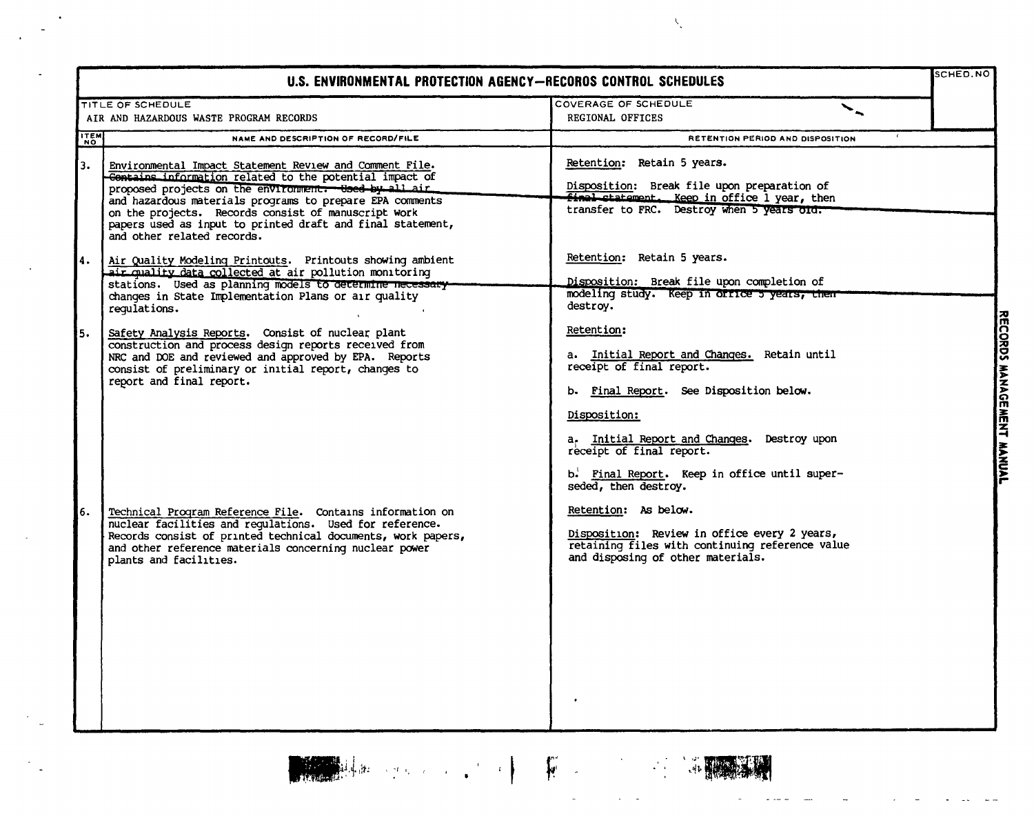|             | U.S. ENVIRONMENTAL PROTECTION AGENCY-RECOROS CONTROL SCHEDULES                                                                                                                                                                                                                                                                                                                                                                                                                                                      |                                                                                                                                                                                                                                                                                                                                                                                                                     | SCHED.NO                                                      |
|-------------|---------------------------------------------------------------------------------------------------------------------------------------------------------------------------------------------------------------------------------------------------------------------------------------------------------------------------------------------------------------------------------------------------------------------------------------------------------------------------------------------------------------------|---------------------------------------------------------------------------------------------------------------------------------------------------------------------------------------------------------------------------------------------------------------------------------------------------------------------------------------------------------------------------------------------------------------------|---------------------------------------------------------------|
|             | <b>TITLE OF SCHEDULE</b>                                                                                                                                                                                                                                                                                                                                                                                                                                                                                            | COVERAGE OF SCHEDULE<br>╰                                                                                                                                                                                                                                                                                                                                                                                           |                                                               |
|             | AIR AND HAZARDOUS WASTE PROGRAM RECORDS                                                                                                                                                                                                                                                                                                                                                                                                                                                                             | <b>REGIONAL OFFICES</b>                                                                                                                                                                                                                                                                                                                                                                                             |                                                               |
| <b>ITEM</b> | NAME AND DESCRIPTION OF RECORD/FILE                                                                                                                                                                                                                                                                                                                                                                                                                                                                                 | RETENTION PERIOD AND DISPOSITION                                                                                                                                                                                                                                                                                                                                                                                    |                                                               |
| 3.          | Environmental Impact Statement Review and Comment File.<br>Contains information related to the potential impact of<br>proposed projects on the environment. Used by all air<br>and hazardous materials programs to prepare EPA comments<br>on the projects. Records consist of manuscript work<br>papers used as input to printed draft and final statement,<br>and other related records.                                                                                                                          | Retention: Retain 5 years.<br>Disposition: Break file upon preparation of<br>final statement. Keep in office 1 year, then<br>transfer to FRC. Destroy when 5 years old.                                                                                                                                                                                                                                             |                                                               |
| 4.<br>5.    | Air Quality Modeling Printouts. Printouts showing ambient<br>air quality data collected at air pollution monitoring<br>stations. Used as planning models to determine necessary-<br>changes in State Implementation Plans or air quality<br>requlations.<br>Safety Analysis Reports. Consist of nuclear plant<br>construction and process design reports received from<br>NRC and DOE and reviewed and approved by EPA. Reports<br>consist of preliminary or initial report, changes to<br>report and final report. | Retention: Retain 5 years.<br>Disposition: Break file upon completion of<br>modeling study. Keep in office 5 years, then<br>destroy.<br>Retention:<br>a. Initial Report and Changes. Retain until<br>receipt of final report.<br>b. Final Report. See Disposition below.<br>Disposition:<br>a. Initial Report and Changes. Destroy upon<br>receipt of final report.<br>b. Final Report. Keep in office until super- | $\overline{\text{CAVO}}$<br>MANAGE<br>Ħ<br>E<br><b>MANAAL</b> |
| 6.          | Technical Program Reference File. Contains information on<br>nuclear facilities and requlations. Used for reference.<br>Records consist of printed technical documents, work papers,<br>and other reference materials concerning nuclear power<br>plants and facilities.                                                                                                                                                                                                                                            | seded, then destroy.<br>Retention: As below.<br>Disposition: Review in office every 2 years,<br>retaining files with continuing reference value<br>and disposing of other materials.                                                                                                                                                                                                                                |                                                               |

**A CONSTRUCTION OF THE CONSTRUCTION** 



 $\bar{\nabla}$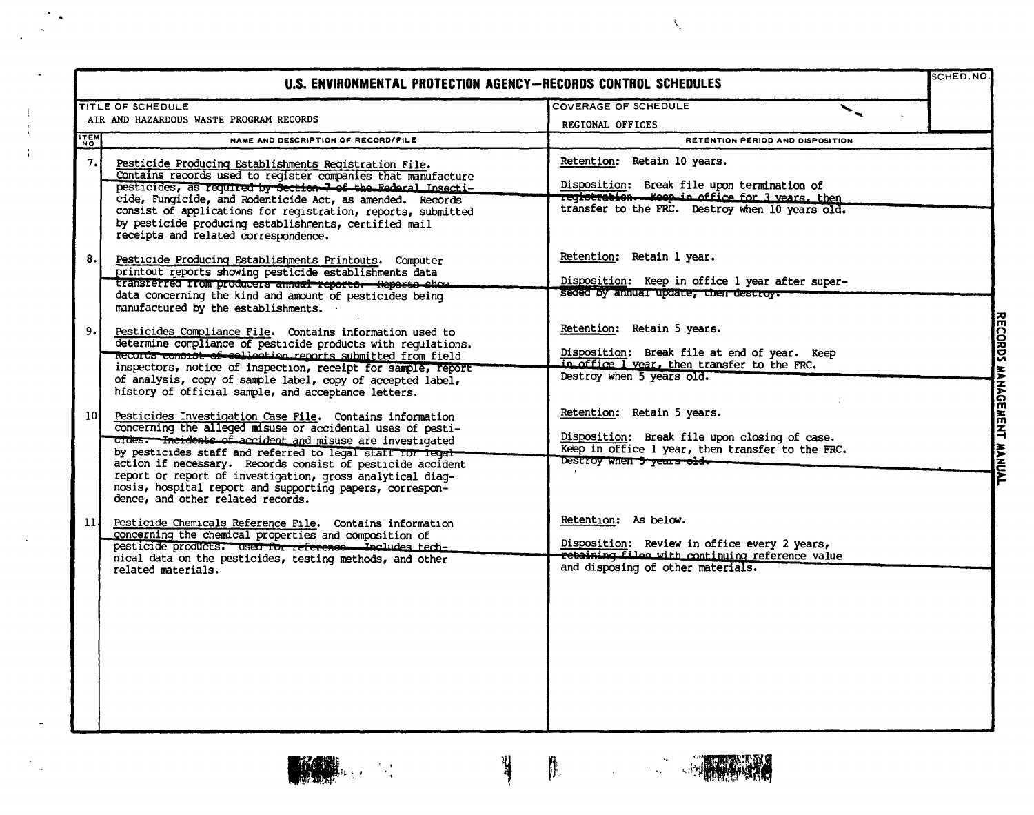|                 | U.S. ENVIRONMENTAL PROTECTION AGENCY-RECORDS CONTROL SCHEDULES                                                                                                                                                                                                                                                                                                                                                                                                               |                                                                                                                                                                                             | SCHED.NO.                 |
|-----------------|------------------------------------------------------------------------------------------------------------------------------------------------------------------------------------------------------------------------------------------------------------------------------------------------------------------------------------------------------------------------------------------------------------------------------------------------------------------------------|---------------------------------------------------------------------------------------------------------------------------------------------------------------------------------------------|---------------------------|
|                 | TITLE OF SCHEDULE                                                                                                                                                                                                                                                                                                                                                                                                                                                            | <b>COVERAGE OF SCHEDULE</b>                                                                                                                                                                 |                           |
|                 | AIR AND HAZARDOUS WASTE PROGRAM RECORDS                                                                                                                                                                                                                                                                                                                                                                                                                                      | REGIONAL OFFICES                                                                                                                                                                            |                           |
| <b>ITEM</b>     | NAME AND DESCRIPTION OF RECORD/FILE                                                                                                                                                                                                                                                                                                                                                                                                                                          | RETENTION PERIOD AND DISPOSITION                                                                                                                                                            |                           |
| 7.              | Pesticide Producing Establishments Registration File.<br>Contains records used to reqister companies that manufacture<br>pesticides, as required by Section 7 of the Federal Insecti-<br>cide, Fungicide, and Rodenticide Act, as amended. Records<br>consist of applications for registration, reports, submitted<br>by pesticide producing establishments, certified mail<br>receipts and related correspondence.                                                          | Retention: Retain 10 years.<br>Disposition: Break file upon termination of<br><del>registration. Koop in office for 3 yea</del> rs, then<br>transfer to the FRC. Destroy when 10 years old. |                           |
| 8.              | Pesticide Producing Establishments Printouts. Computer<br>printout reports showing pesticide establishments data<br>transferred from producers annual reporte. Reporte show.<br>data concerning the kind and amount of pesticides being<br>manufactured by the establishments.                                                                                                                                                                                               | Retention: Retain 1 year.<br>Disposition: Keep in office 1 year after super-<br>seded by annual update, their destroy.                                                                      |                           |
| 9. I            | Pesticides Compliance File. Contains information used to<br>determine compliance of pesticide products with regulations.<br>Records consist of sellection reports submitted from field<br>inspectors, notice of inspection, receipt for sample, report<br>of analysis, copy of sample label, copy of accepted label,<br>history of official sample, and acceptance letters.                                                                                                  | Retention: Retain 5 years.<br>Disposition: Break file at end of year. Keep<br>in office I year, then transfer to the FRC.<br>Destroy when 5 years old.                                      |                           |
| 10 <sup>1</sup> | Pesticides Investigation Case File. Contains information<br>concerning the alleged misuse or accidental uses of pesti-<br>Cldes. Incidents of accident and misuse are investigated<br>by pesticides staff and referred to legal staff for legal-<br>action if necessary. Records consist of pesticide accident<br>report or report of investigation, gross analytical diag-<br>nosis, hospital report and supporting papers, correspon-<br>dence, and other related records. | Retention: Retain 5 years.<br>Disposition: Break file upon closing of case.<br>Keep in office 1 year, then transfer to the FRC.                                                             | RECORDS MANAGERENT MANUAL |
| 11              | Pesticide Chemicals Reference File. Contains information<br>concerning the chemical properties and composition of<br>pesticide products. Used for reference. Includes tech-<br>nical data on the pesticides, testing methods, and other<br>related materials.                                                                                                                                                                                                                | Retention: As below.<br>Disposition: Review in office every 2 years,<br>rebaining files with continuing reference value<br>and disposing of other materials.                                |                           |



 $\blacksquare$ 

 $\mathbb{Z}^2$ 

 $\frac{1}{2}$ 

 $\begin{bmatrix} 1 \\ 1 \end{bmatrix}$ 

 $\bar{z}$ 



 $\lambda_i$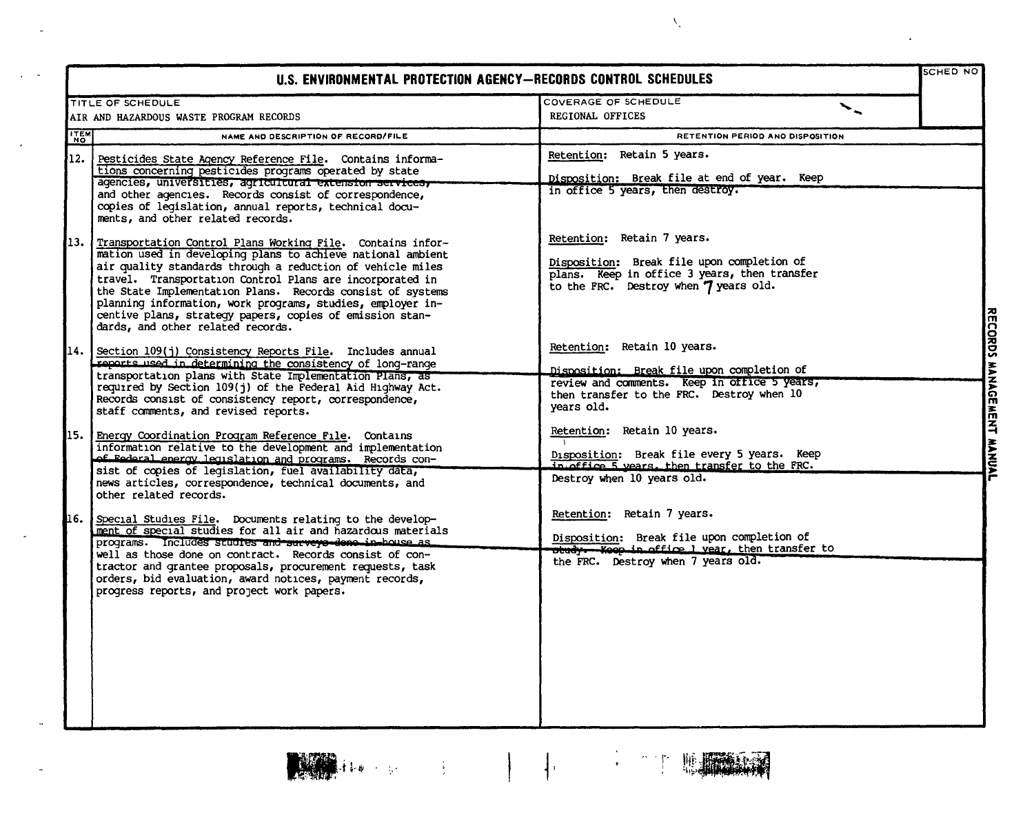|                                                                                                                                                                                                                                                                                                                                                                                                                                                                                                                              | U.S. ENVIRONMENTAL PROTECTION AGENCY-RECORDS CONTROL SCHEDULES                                                                                                                              | SCHED NO |
|------------------------------------------------------------------------------------------------------------------------------------------------------------------------------------------------------------------------------------------------------------------------------------------------------------------------------------------------------------------------------------------------------------------------------------------------------------------------------------------------------------------------------|---------------------------------------------------------------------------------------------------------------------------------------------------------------------------------------------|----------|
| TITLE OF SCHEDULE                                                                                                                                                                                                                                                                                                                                                                                                                                                                                                            | COVERAGE OF SCHEDULE<br>$\ddot{\phantom{0}}$                                                                                                                                                |          |
| AIR AND HAZARDOUS WASTE PROGRAM RECORDS                                                                                                                                                                                                                                                                                                                                                                                                                                                                                      | REGIONAL OFFICES                                                                                                                                                                            |          |
| <b>TEM</b><br>NAME AND DESCRIPTION OF RECORD/FILE                                                                                                                                                                                                                                                                                                                                                                                                                                                                            | RETENTION PERIOD ANO DISPOSITION                                                                                                                                                            |          |
| 12.1<br>Pesticides State Agency Reference File. Contains informa-<br>tions concerning pesticides programs operated by state<br>agencies, universities, agricultural extension services,<br>and other agencies. Records consist of correspondence,<br>copies of legislation, annual reports, technical docu-                                                                                                                                                                                                                  | Retention: Retain 5 years.<br>Disposition: Break file at end of year. Keep<br>in office 5 years, then destroy.                                                                              |          |
| ments, and other related records.<br>13.<br>Transportation Control Plans Working File. Contains infor-<br>mation used in developing plans to achieve national ambient<br>air quality standards through a reduction of vehicle miles<br>travel. Transportation Control Plans are incorporated in<br>the State Implementation Plans. Records consist of systems<br>planning information, work programs, studies, employer in-<br>centive plans, strategy papers, copies of emission stan-<br>dards, and other related records. | Retention: Retain 7 years.<br>Disposition: Break file upon completion of<br>plans. Keep in office 3 years, then transfer<br>to the FRC. Destroy when 7 years old.                           |          |
| 114.<br>Section 109(j) Consistency Reports File. Includes annual<br>reports used in determining the consistency of long-range<br>transportation plans with State Implementation Plans, as<br>required by Section 109(j) of the Federal Aid Highway Act.<br>Records consist of consistency report, correspondence,<br>staff comments, and revised reports.                                                                                                                                                                    | Retention: Retain 10 years.<br><u>Disposition: Break file upon completion of</u><br>review and comments. Keep in office 5 years,<br>then transfer to the FRC. Destroy when 10<br>years old. |          |
| 15.<br>Energy Coordination Program Reference File. Contains<br>information relative to the development and implementation<br>of Federal energy legislation and programs. Records con-<br>sist of copies of legislation, fuel availability data,<br>news articles, correspondence, technical documents, and<br>other related records.                                                                                                                                                                                         | Retention: Retain 10 years.<br>Disposition: Break file every 5 years. Keep<br>in office 5 years. then transfer to the FRC.<br>Destroy when 10 years old.                                    |          |
| 16.<br>Special Studies File. Documents relating to the develop-<br>ment of special studies for all air and hazardous materials<br>programs. Includes studies and surveys-deno in-bouse as<br>well as those done on contract. Records consist of con-<br>tractor and grantee proposals, procurement requests, task<br>orders, bid evaluation, award notices, payment records,<br>progress reports, and project work papers.                                                                                                   | Retention: Retain 7 years.<br>Disposition: Break file upon completion of<br>with Koop in office 1 year, then transfer to<br>the FRC. Destroy when 7 years old.                              |          |

 $\lambda_{\downarrow}$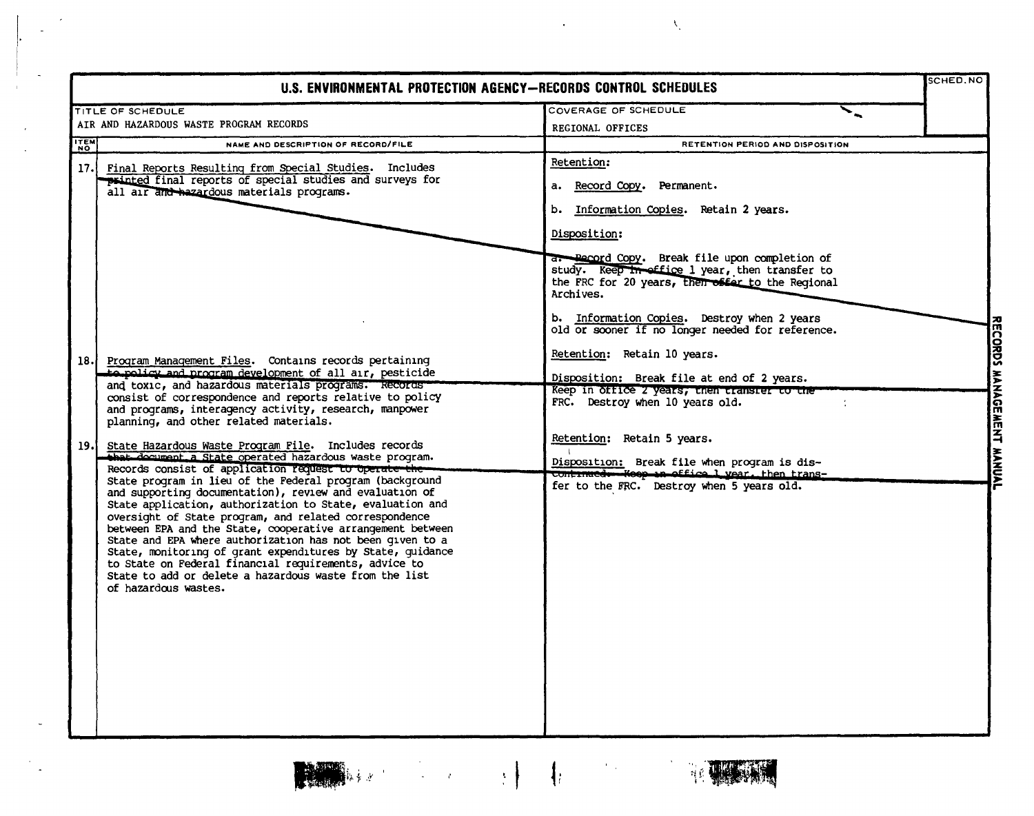$\mathcal{A}$ 

 $\alpha$  $\ddot{\phantom{a}}$ 

 $\lambda_{\rm s}$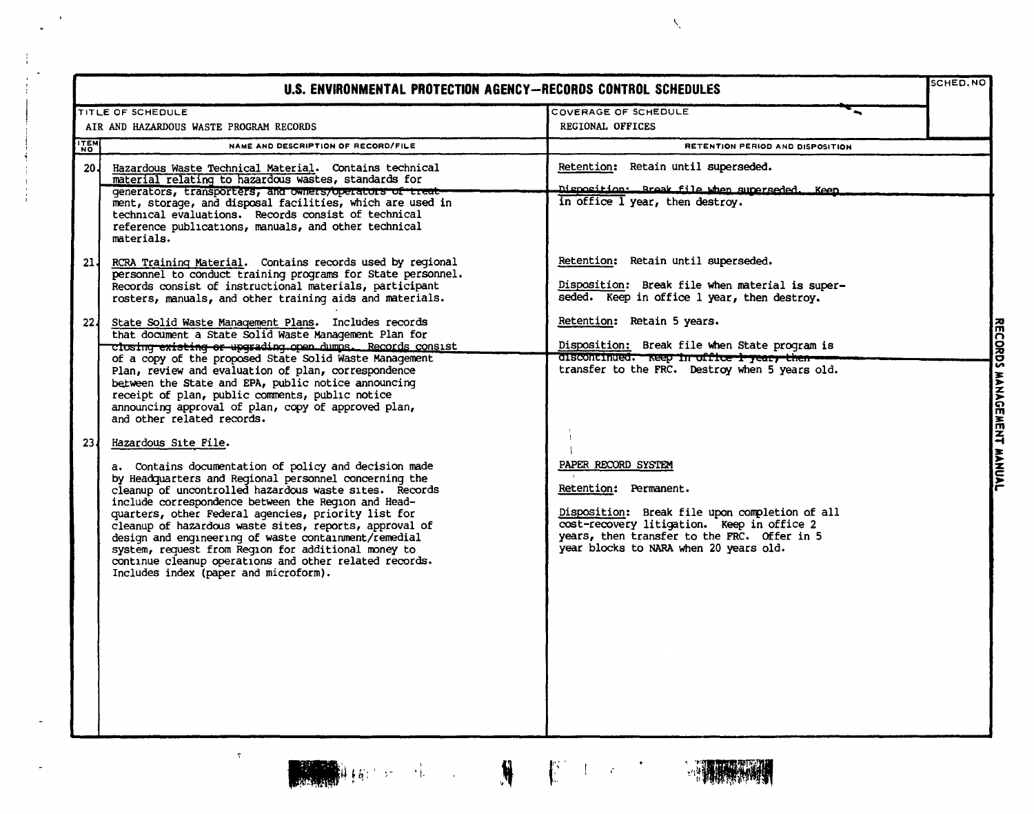|                 | U.S. ENVIRONMENTAL PROTECTION AGENCY-RECORDS CONTROL SCHEDULES                                                                                                                                                                                                                                                                                                                                                                                                                                                                                                                             |                                                                                                                                                                                                                                       | SCHED.NO          |
|-----------------|--------------------------------------------------------------------------------------------------------------------------------------------------------------------------------------------------------------------------------------------------------------------------------------------------------------------------------------------------------------------------------------------------------------------------------------------------------------------------------------------------------------------------------------------------------------------------------------------|---------------------------------------------------------------------------------------------------------------------------------------------------------------------------------------------------------------------------------------|-------------------|
|                 | <b>TITLE OF SCHEDULE</b>                                                                                                                                                                                                                                                                                                                                                                                                                                                                                                                                                                   | COVERAGE OF SCHEDULE                                                                                                                                                                                                                  |                   |
|                 | AIR AND HAZARDOUS WASTE PROGRAM RECORDS                                                                                                                                                                                                                                                                                                                                                                                                                                                                                                                                                    | REGIONAL OFFICES                                                                                                                                                                                                                      |                   |
| <b>ITEM</b>     | NAME AND DESCRIPTION OF RECORD/FILE                                                                                                                                                                                                                                                                                                                                                                                                                                                                                                                                                        | RETENTION PERIOD AND DISPOSITION                                                                                                                                                                                                      |                   |
| 20.             | Hazardous Waste Technical Material. Contains technical<br>material relating to hazardous wastes, standards for<br>generators, transporters, and owners/operators of treat<br>ment, storage, and disposal facilities, which are used in<br>technical evaluations. Records consist of technical<br>reference publications, manuals, and other technical<br>materials.                                                                                                                                                                                                                        | Retention: Retain until superseded.<br>Disposition: Break file when superseded. Keep<br>in office 1 year, then destroy.                                                                                                               |                   |
| 21 <sub>4</sub> | RCRA Training Material. Contains records used by regional<br>personnel to conduct training programs for State personnel.<br>Records consist of instructional materials, participant<br>rosters, manuals, and other training aids and materials.                                                                                                                                                                                                                                                                                                                                            | Retention: Retain until superseded.<br>Disposition: Break file when material is super-<br>seded. Keep in office 1 year, then destroy.                                                                                                 |                   |
| <b>224</b>      | State Solid Waste Management Plans. Includes records<br>that document a State Solid Waste Management Plan for                                                                                                                                                                                                                                                                                                                                                                                                                                                                              | Retention: Retain 5 years.                                                                                                                                                                                                            | <b>RECORDS</b>    |
|                 | closing existing or upgrading open dumps. Records consist<br>of a copy of the proposed State Solid Waste Management<br>Plan, review and evaluation of plan, correspondence<br>between the State and EPA, public notice announcing<br>receipt of plan, public comments, public notice<br>announcing approval of plan, copy of approved plan,<br>and other related records.                                                                                                                                                                                                                  | Disposition: Break file when State program is<br>discontinued. Reep in office 1 year, then<br>transfer to the FRC. Destroy when 5 years old.                                                                                          | MANAGEMENT MANUAL |
| 23 <sub>1</sub> | Hazardous Site File.<br>a. Contains documentation of policy and decision made<br>by Headquarters and Regional personnel concerning the<br>cleanup of uncontrolled hazardous waste sites. Records<br>include correspondence between the Region and Head-<br>quarters, other Federal agencies, priority list for<br>cleanup of hazardous waste sites, reports, approval of<br>design and engineering of waste containment/remedial<br>system, request from Region for additional money to<br>continue cleanup operations and other related records.<br>Includes index (paper and microform). | PAPER RECORD SYSTEM<br>Retention: Permanent.<br>Disposition: Break file upon completion of all<br>cost-recovery litigation. Keep in office 2<br>years, then transfer to the FRC. Offer in 5<br>year blocks to NARA when 20 years old. |                   |
|                 |                                                                                                                                                                                                                                                                                                                                                                                                                                                                                                                                                                                            |                                                                                                                                                                                                                                       |                   |



 $\tau$ 

 $\ddot{\phantom{1}}$ 



 $\hat{\mathbf{y}}$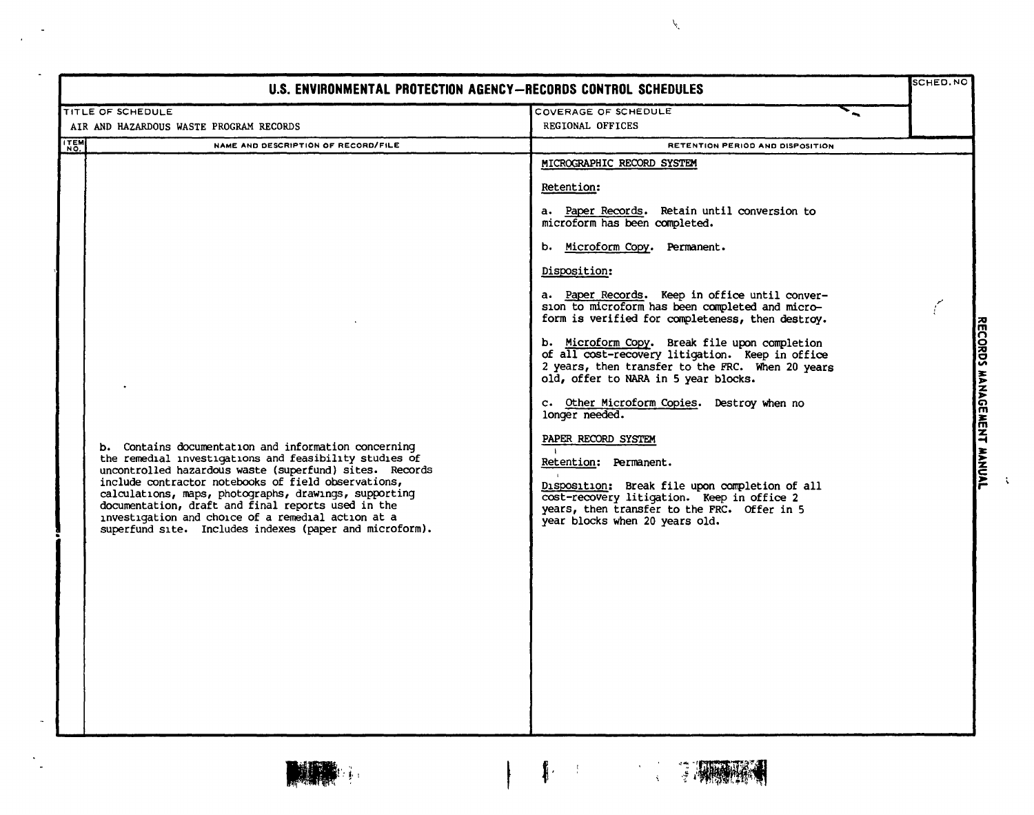| U.S. ENVIRONMENTAL PROTECTION AGENCY-RECORDS CONTROL SCHEDULES                                                                                                                                                                                                                                                                                                                                                                                                   |                                                                                                                                                                                                                                                                                                                                                                                                                                                                                                                                                                                                                                                                                                                                                                                                                                      |                           |
|------------------------------------------------------------------------------------------------------------------------------------------------------------------------------------------------------------------------------------------------------------------------------------------------------------------------------------------------------------------------------------------------------------------------------------------------------------------|--------------------------------------------------------------------------------------------------------------------------------------------------------------------------------------------------------------------------------------------------------------------------------------------------------------------------------------------------------------------------------------------------------------------------------------------------------------------------------------------------------------------------------------------------------------------------------------------------------------------------------------------------------------------------------------------------------------------------------------------------------------------------------------------------------------------------------------|---------------------------|
| TITLE OF SCHEDULE                                                                                                                                                                                                                                                                                                                                                                                                                                                | COVERAGE OF SCHEDULE                                                                                                                                                                                                                                                                                                                                                                                                                                                                                                                                                                                                                                                                                                                                                                                                                 |                           |
| AIR AND HAZARDOUS WASTE PROGRAM RECORDS                                                                                                                                                                                                                                                                                                                                                                                                                          | REGIONAL OFFICES                                                                                                                                                                                                                                                                                                                                                                                                                                                                                                                                                                                                                                                                                                                                                                                                                     |                           |
| <b>ITEM</b><br>NAME AND DESCRIPTION OF RECORD/FILE                                                                                                                                                                                                                                                                                                                                                                                                               | RETENTION PERIOD AND DISPOSITION                                                                                                                                                                                                                                                                                                                                                                                                                                                                                                                                                                                                                                                                                                                                                                                                     |                           |
| b. Contains documentation and information concerning<br>the remedial investigations and feasibility studies of<br>uncontrolled hazardous waste (superfund) sites. Records<br>include contractor notebooks of field observations,<br>calculations, maps, photographs, drawings, supporting<br>documentation, draft and final reports used in the<br>investigation and choice of a remedial action at a<br>superfund site. Includes indexes (paper and microform). | MICROGRAPHIC RECORD SYSTEM<br>Retention:<br>a. Paper Records. Retain until conversion to<br>microform has been completed.<br>b. Microform Copy. Permanent.<br>Disposition:<br>a. Paper Records. Keep in office until conver-<br>sion to microform has been completed and micro-<br>form is verified for completeness, then destroy.<br>b. Microform Copy. Break file upon completion<br>of all cost-recovery litigation. Keep in office<br>2 years, then transfer to the FRC. When 20 years<br>old, offer to NARA in 5 year blocks.<br>c. Other Microform Copies. Destroy when no<br>longer needed.<br>PAPER RECORD SYSTEM<br>Retention: Permanent.<br>Disposition: Break file upon completion of all<br>cost-recovery litigation. Keep in office 2<br>years, then transfer to the FRC. Offer in 5<br>year blocks when 20 years old. | RECORDS MANAGEMENT MANUAL |

 $\mathbf{I}$ 



 $\tilde{\mathscr{C}}$ 





 $\ddot{\phantom{a}}$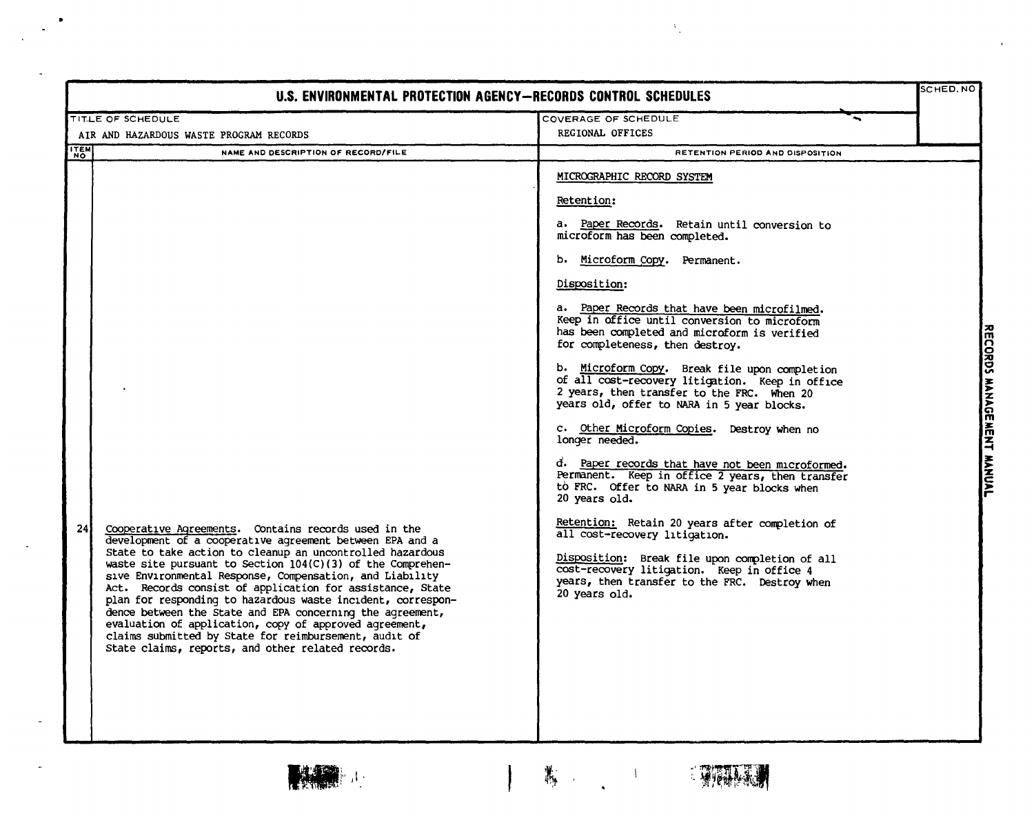| U.S. ENVIRONMENTAL PROTECTION AGENCY-RECORDS CONTROL SCHEDULES                                                                                                                                                                                                                                                                                                                                                                                                                                                                                                                                                                                                                                |                                                                                                                                                                                                                                                                                                                                                                                                                                                                                                                                                                                                                                                                                                                                                                                                                                                                                                                                                                                                                                                                   | SCHED.NO                  |
|-----------------------------------------------------------------------------------------------------------------------------------------------------------------------------------------------------------------------------------------------------------------------------------------------------------------------------------------------------------------------------------------------------------------------------------------------------------------------------------------------------------------------------------------------------------------------------------------------------------------------------------------------------------------------------------------------|-------------------------------------------------------------------------------------------------------------------------------------------------------------------------------------------------------------------------------------------------------------------------------------------------------------------------------------------------------------------------------------------------------------------------------------------------------------------------------------------------------------------------------------------------------------------------------------------------------------------------------------------------------------------------------------------------------------------------------------------------------------------------------------------------------------------------------------------------------------------------------------------------------------------------------------------------------------------------------------------------------------------------------------------------------------------|---------------------------|
| TITLE OF SCHEDULE                                                                                                                                                                                                                                                                                                                                                                                                                                                                                                                                                                                                                                                                             | COVERAGE OF SCHEDULE                                                                                                                                                                                                                                                                                                                                                                                                                                                                                                                                                                                                                                                                                                                                                                                                                                                                                                                                                                                                                                              |                           |
| AIR AND HAZARDOUS WASTE PROGRAM RECORDS                                                                                                                                                                                                                                                                                                                                                                                                                                                                                                                                                                                                                                                       | REGIONAL OFFICES                                                                                                                                                                                                                                                                                                                                                                                                                                                                                                                                                                                                                                                                                                                                                                                                                                                                                                                                                                                                                                                  |                           |
| <b>ITEM</b><br>NAME AND DESCRIPTION OF RECORD/FILE<br><b>NO</b>                                                                                                                                                                                                                                                                                                                                                                                                                                                                                                                                                                                                                               | RETENTION PERIOD AND DISPOSITION                                                                                                                                                                                                                                                                                                                                                                                                                                                                                                                                                                                                                                                                                                                                                                                                                                                                                                                                                                                                                                  |                           |
| 24 <sub>1</sub><br>Cooperative Agreements. Contains records used in the<br>development of a cooperative agreement between EPA and a<br>State to take action to cleanup an uncontrolled hazardous<br>waste site pursuant to Section $104(C)(3)$ of the Comprehen-<br>sive Environmental Response, Compensation, and Liability<br>Act. Records consist of application for assistance, State<br>plan for responding to hazardous waste incident, correspon-<br>dence between the State and EPA concerning the agreement,<br>evaluation of application, copy of approved agreement,<br>claims submitted by State for reimbursement, audit of<br>State claims, reports, and other related records. | <b>MICROGRAPHIC RECORD SYSTEM</b><br>Retention:<br>a. Paper Records. Retain until conversion to<br>microform has been completed.<br>b. Microform Copy. Permanent.<br>Disposition:<br>a. Paper Records that have been microfilmed.<br>Keep in office until conversion to microform<br>has been completed and microform is verified<br>for completeness, then destroy.<br>b. Microform Copy. Break file upon completion<br>of all cost-recovery litigation. Keep in office<br>2 years, then transfer to the FRC. When 20<br>years old, offer to NARA in 5 year blocks.<br>c. Other Microform Copies. Destroy when no<br>longer needed.<br>d. Paper records that have not been microformed.<br>Permanent. Keep in office 2 years, then transfer<br>to FRC. Offer to NARA in 5 year blocks when<br>20 years old.<br>Retention: Retain 20 years after completion of<br>all cost-recovery litigation.<br>Disposition: Break file upon completion of all<br>cost-recovery litigation. Keep in office 4<br>years, then transfer to the FRC. Destroy when<br>20 years old. | RECORDS MANAGEMENT MANUAL |



 $\frac{1}{\left\| \mathbf{1} \right\|_{\mathbf{1}} \left\| \mathbf{1} \right\|_{\mathbf{1}} \left\| \mathbf{1} \right\|_{\mathbf{1}}}{\left\| \mathbf{1} \right\|_{\mathbf{1}} \left\| \mathbf{1} \right\|_{\mathbf{1}} \left\| \mathbf{1} \right\|_{\mathbf{1}} \left\| \mathbf{1} \right\|_{\mathbf{1}}$  $\mathbf{L}$ 

 $\mathcal{A}$ 



 $\lambda_{\rm L}$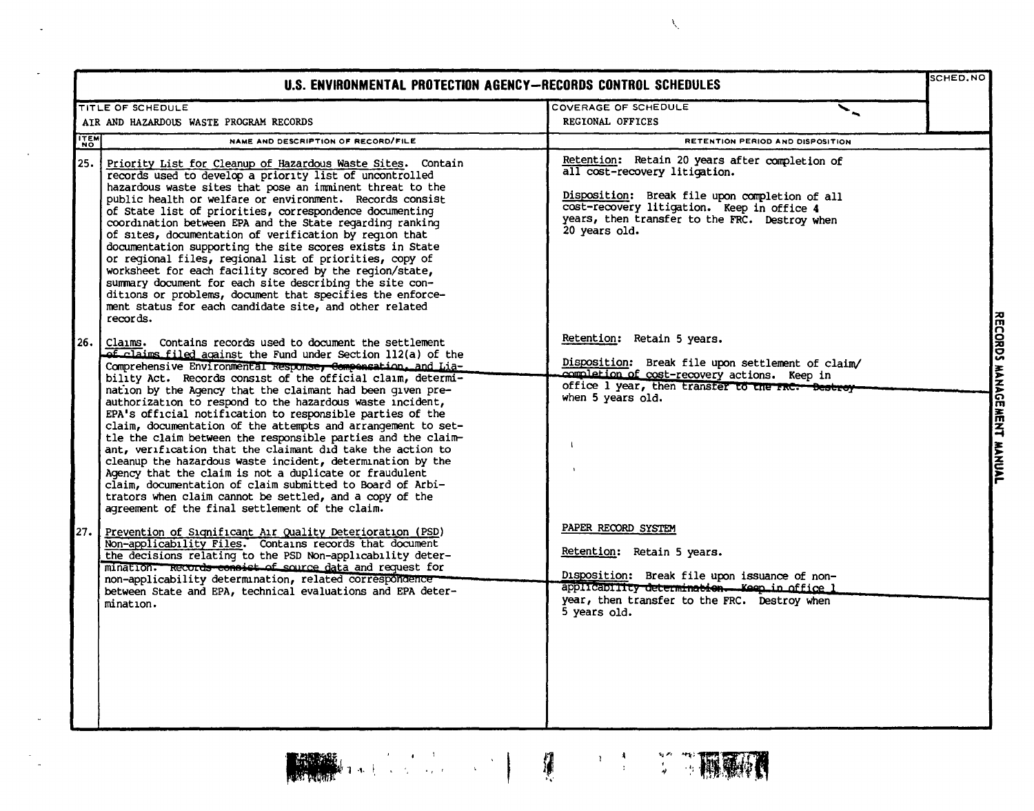| U.S. ENVIRONMENTAL PROTECTION AGENCY-RECORDS CONTROL SCHEDULES |                                                                                                                                                                                                                                                                                                                                                                                                                                                                                                                                                                                                                                                                                                                                                                                                                                                                                                                                                         |                                                                                                                                                                                                                                                   |                                                         |
|----------------------------------------------------------------|---------------------------------------------------------------------------------------------------------------------------------------------------------------------------------------------------------------------------------------------------------------------------------------------------------------------------------------------------------------------------------------------------------------------------------------------------------------------------------------------------------------------------------------------------------------------------------------------------------------------------------------------------------------------------------------------------------------------------------------------------------------------------------------------------------------------------------------------------------------------------------------------------------------------------------------------------------|---------------------------------------------------------------------------------------------------------------------------------------------------------------------------------------------------------------------------------------------------|---------------------------------------------------------|
|                                                                | TITLE OF SCHEDULE                                                                                                                                                                                                                                                                                                                                                                                                                                                                                                                                                                                                                                                                                                                                                                                                                                                                                                                                       | COVERAGE OF SCHEDULE                                                                                                                                                                                                                              |                                                         |
|                                                                | AIR AND HAZARDOUS WASTE PROGRAM RECORDS                                                                                                                                                                                                                                                                                                                                                                                                                                                                                                                                                                                                                                                                                                                                                                                                                                                                                                                 | <b>REGIONAL OFFICES</b>                                                                                                                                                                                                                           |                                                         |
| <b>TTEM</b>                                                    | NAME AND DESCRIPTION OF RECORD/FILE                                                                                                                                                                                                                                                                                                                                                                                                                                                                                                                                                                                                                                                                                                                                                                                                                                                                                                                     | RETENTION PERIOD AND DISPOSITION                                                                                                                                                                                                                  |                                                         |
| 25.                                                            | Priority List for Cleanup of Hazardous Waste Sites. Contain<br>records used to develop a priority list of uncontrolled<br>hazardous waste sites that pose an imminent threat to the<br>public health or welfare or environment. Records consist<br>of State list of priorities, correspondence documenting<br>coordination between EPA and the State regarding ranking<br>of sites, documentation of verification by reqion that<br>documentation supporting the site scores exists in State<br>or regional files, regional list of priorities, copy of<br>worksheet for each facility scored by the region/state,<br>summary document for each site describing the site con-<br>ditions or problems, document that specifies the enforce-<br>ment status for each candidate site, and other related<br>records.                                                                                                                                        | Retention: Retain 20 years after completion of<br>all cost-recovery litigation.<br>Disposition: Break file upon completion of all<br>cost-recovery litigation. Keep in office 4<br>years, then transfer to the FRC. Destroy when<br>20 years old. |                                                         |
| 26.                                                            | Claims. Contains records used to document the settlement<br><b>ef claims filed against the Fund under Section 112(a) of the</b><br>Comprehensive Environmental Response, Componsation, and Lia-<br>bility Act. Records consist of the official claim, determi-<br>nation by the Agency that the claimant had been given pre-<br>authorization to respond to the hazardous waste incident,<br>EPA's official notification to responsible parties of the<br>claim, documentation of the attempts and arrangement to set-<br>tle the claim between the responsible parties and the claim-<br>ant, verification that the claimant did take the action to<br>cleanup the hazardous waste incident, determination by the<br>Agency that the claim is not a duplicate or fraudulent<br>claim, documentation of claim submitted to Board of Arbi-<br>trators when claim cannot be settled, and a copy of the<br>agreement of the final settlement of the claim. | Retention: Retain 5 years.<br>Disposition: Break file upon settlement of claim/<br>completion of cost-recovery actions. Keep in<br>office 1 year, then transfer to the FRC: Destroy<br>when 5 years old.                                          | $\frac{1}{2}$<br>MANAGE<br><b>MENT</b><br><b>MANUAL</b> |
| 27.                                                            | Prevention of Significant Air Quality Deterioration (PSD)<br>Non-applicability Files. Contains records that document<br>the decisions relating to the PSD Non-applicability deter-<br>mination. Records consist of source data and request for<br>non-applicability determination, related correspondence<br>between State and EPA, technical evaluations and EPA deter-<br>mination.                                                                                                                                                                                                                                                                                                                                                                                                                                                                                                                                                                   | PAPER RECORD SYSTEM<br>Retention: Retain 5 years.<br>Disposition: Break file upon issuance of non-<br>applicability determination. Keep in office 1<br>year, then transfer to the FRC. Destroy when<br>5 years old.                               |                                                         |







 $\hat{\lambda}_i$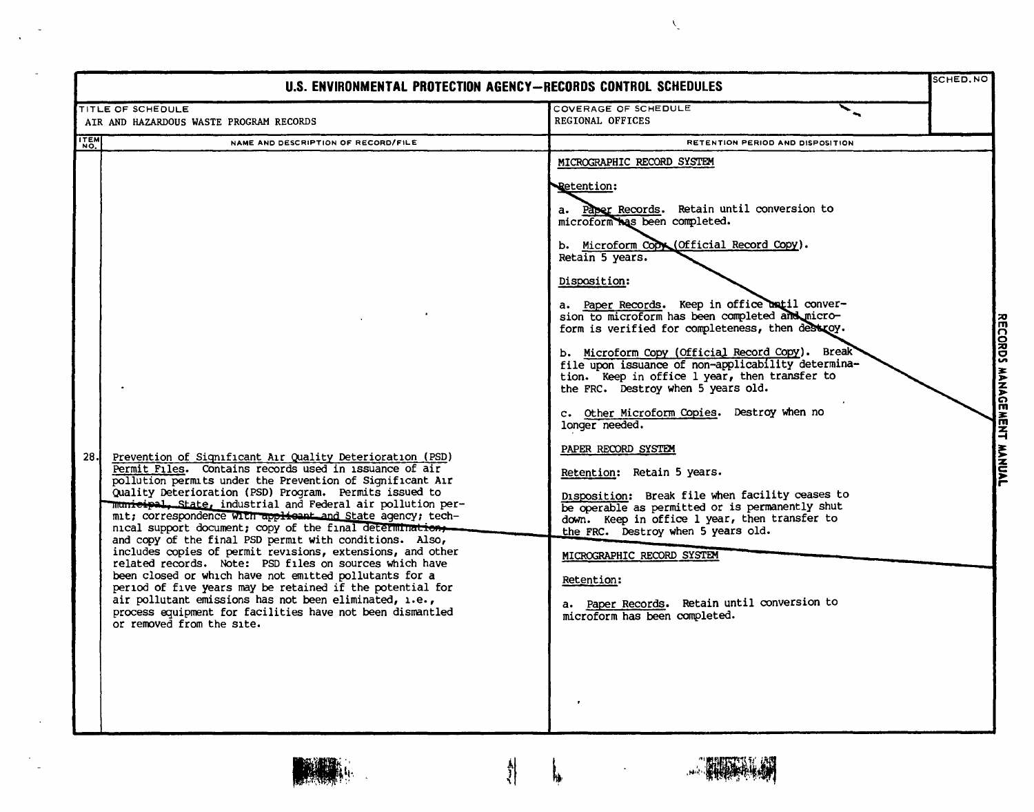| U.S. ENVIRONMENTAL PROTECTION AGENCY-RECORDS CONTROL SCHEDULES                                                                                                                                                                                                                                                                                                                                                                                                                                                                                                                                                                                                                                                                                                                                                                                                                                            |                                                                                                                                                                                                                                                                                                                                                                                                                                                                                                                                                                                                                                                                                                                                                                                                                                                                                                                                                                                                                          |                           |  |  |
|-----------------------------------------------------------------------------------------------------------------------------------------------------------------------------------------------------------------------------------------------------------------------------------------------------------------------------------------------------------------------------------------------------------------------------------------------------------------------------------------------------------------------------------------------------------------------------------------------------------------------------------------------------------------------------------------------------------------------------------------------------------------------------------------------------------------------------------------------------------------------------------------------------------|--------------------------------------------------------------------------------------------------------------------------------------------------------------------------------------------------------------------------------------------------------------------------------------------------------------------------------------------------------------------------------------------------------------------------------------------------------------------------------------------------------------------------------------------------------------------------------------------------------------------------------------------------------------------------------------------------------------------------------------------------------------------------------------------------------------------------------------------------------------------------------------------------------------------------------------------------------------------------------------------------------------------------|---------------------------|--|--|
| TITLE OF SCHEDULE<br>AIR AND HAZARDOUS WASTE PROGRAM RECORDS                                                                                                                                                                                                                                                                                                                                                                                                                                                                                                                                                                                                                                                                                                                                                                                                                                              | COVERAGE OF SCHEDULE<br>REGIONAL OFFICES                                                                                                                                                                                                                                                                                                                                                                                                                                                                                                                                                                                                                                                                                                                                                                                                                                                                                                                                                                                 |                           |  |  |
| <b>ITEM</b><br>NAME AND DESCRIPTION OF RECORD/FILE                                                                                                                                                                                                                                                                                                                                                                                                                                                                                                                                                                                                                                                                                                                                                                                                                                                        | RETENTION PERIOD AND DISPOSITION                                                                                                                                                                                                                                                                                                                                                                                                                                                                                                                                                                                                                                                                                                                                                                                                                                                                                                                                                                                         |                           |  |  |
| 28 J<br>Prevention of Significant Air Quality Deterioration (PSD)<br>Permit Files. Contains records used in issuance of air<br>pollution permits under the Prevention of Significant Air<br>Quality Deterioration (PSD) Program. Permits issued to<br>municipal, State, industrial and Federal air pollution per-<br>mit; correspondence with applicant and State agency; tech-<br>nical support document; copy of the final determination,<br>and copy of the final PSD permit with conditions. Also,<br>includes copies of permit revisions, extensions, and other<br>related records. Note: PSD files on sources which have<br>been closed or which have not emitted pollutants for a<br>period of five years may be retained if the potential for<br>air pollutant emissions has not been eliminated, i.e.,<br>process equipment for facilities have not been dismantled<br>or removed from the site. | MICROGRAPHIC RECORD SYSTEM<br><b>Retention:</b><br>a. Paper Records. Retain until conversion to<br>microform has been completed.<br>b. Microform Copy (Official Record Copy).<br>Retain 5 years.<br>Disposition:<br>a. Paper Records. Keep in office until conver-<br>sion to microform has been completed and micro-<br>form is verified for completeness, then destroy.<br>b. Microform Copy (Official Record Copy). Break<br>file upon issuance of non-applicability determina-<br>tion. Keep in office 1 year, then transfer to<br>the FRC. Destroy when 5 years old.<br>c. Other Microform Copies. Destroy when no<br>longer needed.<br>PAPER RECORD SYSTEM<br>Retention: Retain 5 years.<br>Disposition: Break file when facility ceases to<br>be operable as permitted or is permanently shut<br>down. Keep in office 1 year, then transfer to<br>the FRC. Destroy when 5 years old.<br>MICROGRAPHIC RECORD SYSTEM<br>Retention:<br>a. Paper Records. Retain until conversion to<br>microform has been completed. | RECORDS MANAGEMENT MANUAL |  |  |
|                                                                                                                                                                                                                                                                                                                                                                                                                                                                                                                                                                                                                                                                                                                                                                                                                                                                                                           | ħ,                                                                                                                                                                                                                                                                                                                                                                                                                                                                                                                                                                                                                                                                                                                                                                                                                                                                                                                                                                                                                       |                           |  |  |

 $\lambda_{\rm g}$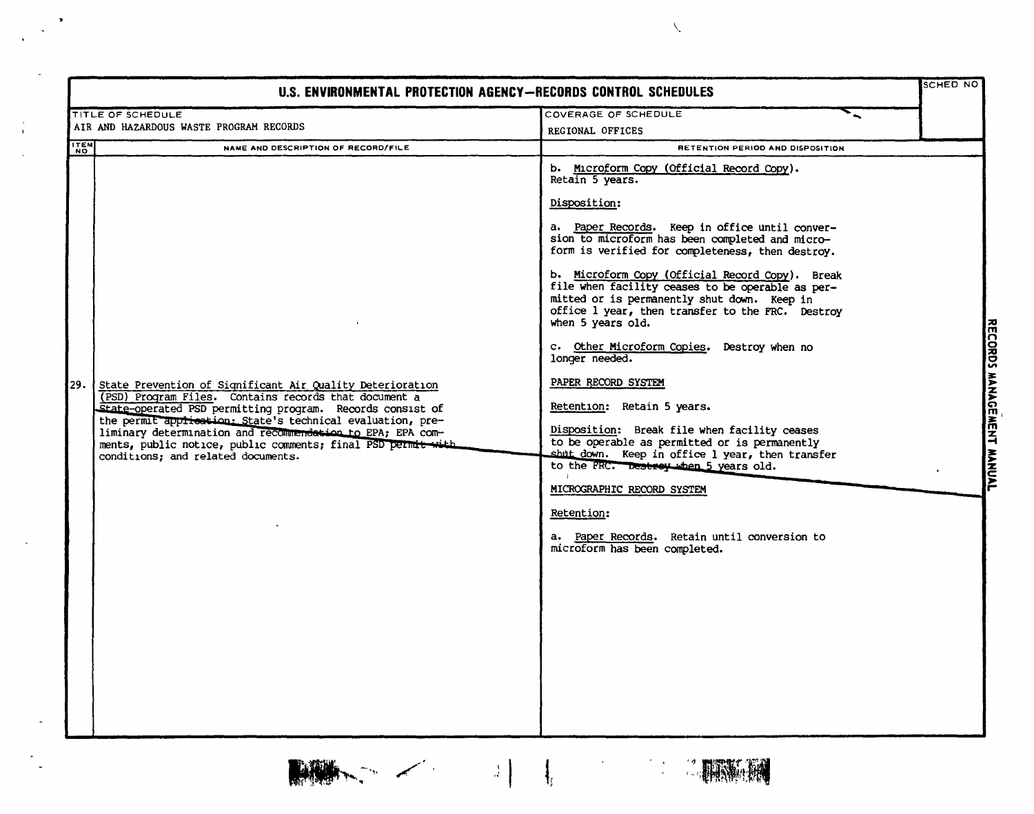|                                                                                                                                                                                                                                                                                                                                                                                                                                         | U.S. ENVIRONMENTAL PROTECTION AGENCY-RECORDS CONTROL SCHEDULES                                                                                                                                                                                                                                                                                                                                                                                                                                                                                                                                                                                                                                                                                                                                                                                                                                                      |                                     |
|-----------------------------------------------------------------------------------------------------------------------------------------------------------------------------------------------------------------------------------------------------------------------------------------------------------------------------------------------------------------------------------------------------------------------------------------|---------------------------------------------------------------------------------------------------------------------------------------------------------------------------------------------------------------------------------------------------------------------------------------------------------------------------------------------------------------------------------------------------------------------------------------------------------------------------------------------------------------------------------------------------------------------------------------------------------------------------------------------------------------------------------------------------------------------------------------------------------------------------------------------------------------------------------------------------------------------------------------------------------------------|-------------------------------------|
| TITLE OF SCHEDULE                                                                                                                                                                                                                                                                                                                                                                                                                       | COVERAGE OF SCHEDULE                                                                                                                                                                                                                                                                                                                                                                                                                                                                                                                                                                                                                                                                                                                                                                                                                                                                                                |                                     |
| AIR AND HAZARDOUS WASTE PROGRAM RECORDS                                                                                                                                                                                                                                                                                                                                                                                                 | REGIONAL OFFICES                                                                                                                                                                                                                                                                                                                                                                                                                                                                                                                                                                                                                                                                                                                                                                                                                                                                                                    |                                     |
| NAME AND DESCRIPTION OF RECORD/FILE                                                                                                                                                                                                                                                                                                                                                                                                     | RETENTION PERIOD AND DISPOSITION                                                                                                                                                                                                                                                                                                                                                                                                                                                                                                                                                                                                                                                                                                                                                                                                                                                                                    |                                     |
| <b>ITEM</b><br>29.<br>State Prevention of Significant Air Quality Deterioration<br>(PSD) Program Files. Contains records that document a<br>State-operated PSD permitting program. Records consist of<br>the permit application: State's technical evaluation, pre-<br>liminary determination and recommendation to EPA; EPA com-<br>ments, public notice, public comments; final PSD permit with<br>conditions; and related documents. | b. Microform Copy (Official Record Copy).<br>Retain 5 years.<br>Disposition:<br>a. Paper Records. Keep in office until conver-<br>sion to microform has been completed and micro-<br>form is verified for completeness, then destroy.<br>b. Microform Copy (Official Record Copy). Break<br>file when facility ceases to be operable as per-<br>mitted or is permanently shut down. Keep in<br>office 1 year, then transfer to the FRC. Destroy<br>when 5 years old.<br>c. Other Microform Copies. Destroy when no<br>longer needed.<br>PAPER RECORD SYSTEM<br>Retention: Retain 5 years.<br>Disposition: Break file when facility ceases<br>to be operable as permitted or is permanently<br>shut down. Keep in office 1 year, then transfer<br>to the FRC. Destroy when 5 years old.<br>MICROGRAPHIC RECORD SYSTEM<br>Retention:<br>a. Paper Records. Retain until conversion to<br>microform has been completed. | RECORDS MANAGEMENT<br><b>HANNAL</b> |

<sup>~</sup> -. P,.~ .." t*<sup>I</sup>*

 $\bar{\rm T}$ 

\.

 $\frac{1}{\sqrt{2}}\left(\frac{1}{\sqrt{2}}\right)$ 

**SERVERS**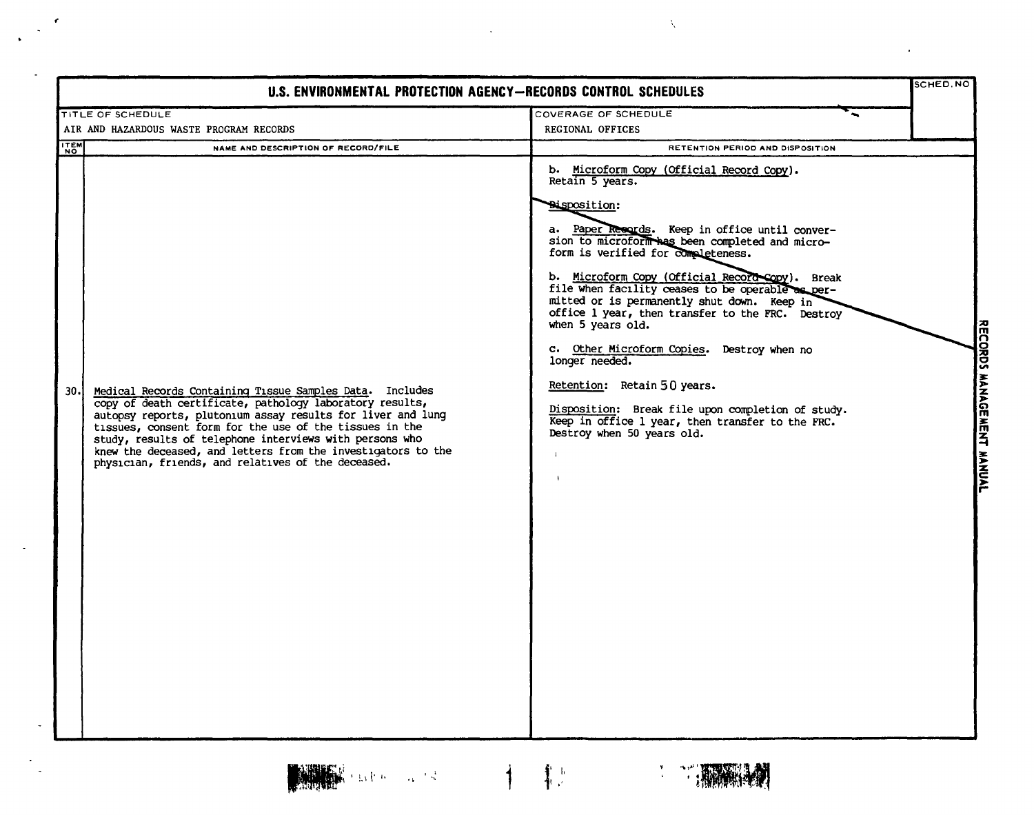| U.S. ENVIRONMENTAL PROTECTION AGENCY-RECORDS CONTROL SCHEDULES                                                                                                                                                                                                                                                                                                                                                                          |                                                                                                                                                                                                                                                                                                                                                                                                                                                                                                                                                                                                                                                                                                     |                           |  |  |
|-----------------------------------------------------------------------------------------------------------------------------------------------------------------------------------------------------------------------------------------------------------------------------------------------------------------------------------------------------------------------------------------------------------------------------------------|-----------------------------------------------------------------------------------------------------------------------------------------------------------------------------------------------------------------------------------------------------------------------------------------------------------------------------------------------------------------------------------------------------------------------------------------------------------------------------------------------------------------------------------------------------------------------------------------------------------------------------------------------------------------------------------------------------|---------------------------|--|--|
| <b>TITLE OF SCHEDULE</b>                                                                                                                                                                                                                                                                                                                                                                                                                | COVERAGE OF SCHEDULE                                                                                                                                                                                                                                                                                                                                                                                                                                                                                                                                                                                                                                                                                |                           |  |  |
| AIR AND HAZARDOUS WASTE PROGRAM RECORDS                                                                                                                                                                                                                                                                                                                                                                                                 | REGIONAL OFFICES                                                                                                                                                                                                                                                                                                                                                                                                                                                                                                                                                                                                                                                                                    |                           |  |  |
| <b>ITEM</b><br>NAME AND DESCRIPTION OF RECORD/FILE                                                                                                                                                                                                                                                                                                                                                                                      | RETENTION PERIOD AND DISPOSITION                                                                                                                                                                                                                                                                                                                                                                                                                                                                                                                                                                                                                                                                    |                           |  |  |
| Medical Records Containing Tissue Samples Data. Includes<br>30.1<br>copy of death certificate, pathology laboratory results,<br>autopsy reports, plutonium assay results for liver and lung<br>tissues, consent form for the use of the tissues in the<br>study, results of telephone interviews with persons who<br>knew the deceased, and letters from the investigators to the<br>physician, friends, and relatives of the deceased. | b. Microform Copy (Official Record Copy).<br>Retain 5 years.<br><b>Bisposition:</b><br>a. Paper Resords. Keep in office until conver-<br>sion to microform has been completed and micro-<br>form is verified for completeness.<br>b. Microform Copy (Official Record Copy). Break<br>file when facility ceases to be operable as per-<br>mitted or is permanently shut down. Keep in<br>office 1 year, then transfer to the FRC. Destroy<br>when 5 years old.<br>c. Other Microform Copies. Destroy when no<br>longer needed.<br>Retention: Retain 50 years.<br>Disposition: Break file upon completion of study.<br>Keep in office 1 year, then transfer to the FRC.<br>Destroy when 50 years old. | RECORDS MANAGEMENT MANUAL |  |  |

 $\lambda_{\rm c}$ 

 $\alpha$